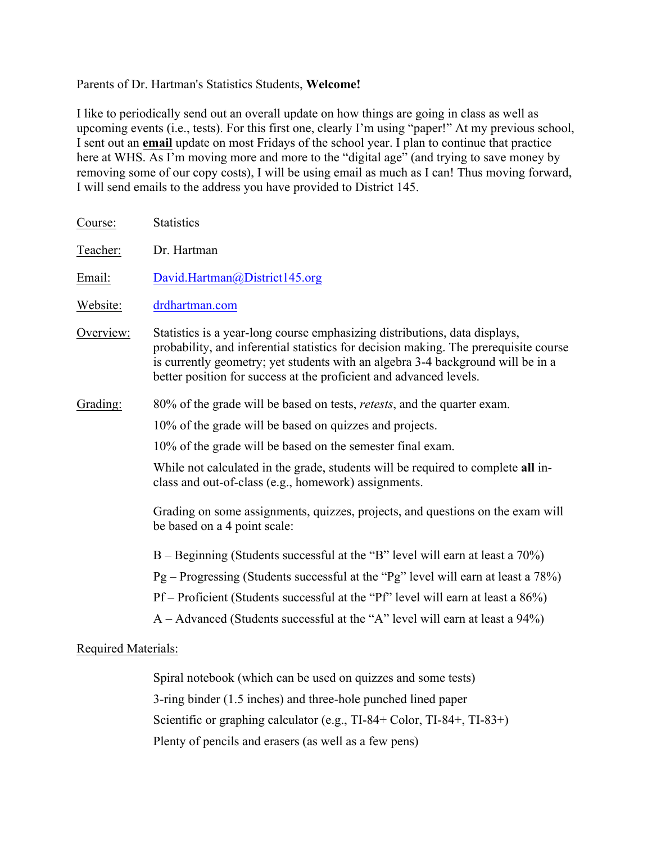### Parents of Dr. Hartman's Statistics Students, **Welcome!**

I like to periodically send out an overall update on how things are going in class as well as upcoming events (i.e., tests). For this first one, clearly I'm using "paper!" At my previous school, I sent out an **email** update on most Fridays of the school year. I plan to continue that practice here at WHS. As I'm moving more and more to the "digital age" (and trying to save money by removing some of our copy costs), I will be using email as much as I can! Thus moving forward, I will send emails to the address you have provided to District 145.

| Course:                    | <b>Statistics</b>                                                                                                                                                                                                                                                                                                           |
|----------------------------|-----------------------------------------------------------------------------------------------------------------------------------------------------------------------------------------------------------------------------------------------------------------------------------------------------------------------------|
| Teacher:                   | Dr. Hartman                                                                                                                                                                                                                                                                                                                 |
| Email:                     | David.Hartman@District145.org                                                                                                                                                                                                                                                                                               |
| Website:                   | drdhartman.com                                                                                                                                                                                                                                                                                                              |
| Overview:                  | Statistics is a year-long course emphasizing distributions, data displays,<br>probability, and inferential statistics for decision making. The prerequisite course<br>is currently geometry; yet students with an algebra 3-4 background will be in a<br>better position for success at the proficient and advanced levels. |
| Grading:                   | 80% of the grade will be based on tests, <i>retests</i> , and the quarter exam.                                                                                                                                                                                                                                             |
|                            | 10% of the grade will be based on quizzes and projects.                                                                                                                                                                                                                                                                     |
|                            | 10% of the grade will be based on the semester final exam.                                                                                                                                                                                                                                                                  |
|                            | While not calculated in the grade, students will be required to complete all in-<br>class and out-of-class (e.g., homework) assignments.                                                                                                                                                                                    |
|                            | Grading on some assignments, quizzes, projects, and questions on the exam will<br>be based on a 4 point scale:                                                                                                                                                                                                              |
|                            | $B -$ Beginning (Students successful at the "B" level will earn at least a 70%)                                                                                                                                                                                                                                             |
|                            | Pg – Progressing (Students successful at the "Pg" level will earn at least a 78%)                                                                                                                                                                                                                                           |
|                            | Pf – Proficient (Students successful at the "Pf" level will earn at least a 86%)                                                                                                                                                                                                                                            |
|                            | $A - Advanced$ (Students successful at the "A" level will earn at least a 94%)                                                                                                                                                                                                                                              |
| <b>Required Materials:</b> |                                                                                                                                                                                                                                                                                                                             |

Spiral notebook (which can be used on quizzes and some tests) 3-ring binder (1.5 inches) and three-hole punched lined paper Scientific or graphing calculator (e.g., TI-84+ Color, TI-84+, TI-83+) Plenty of pencils and erasers (as well as a few pens)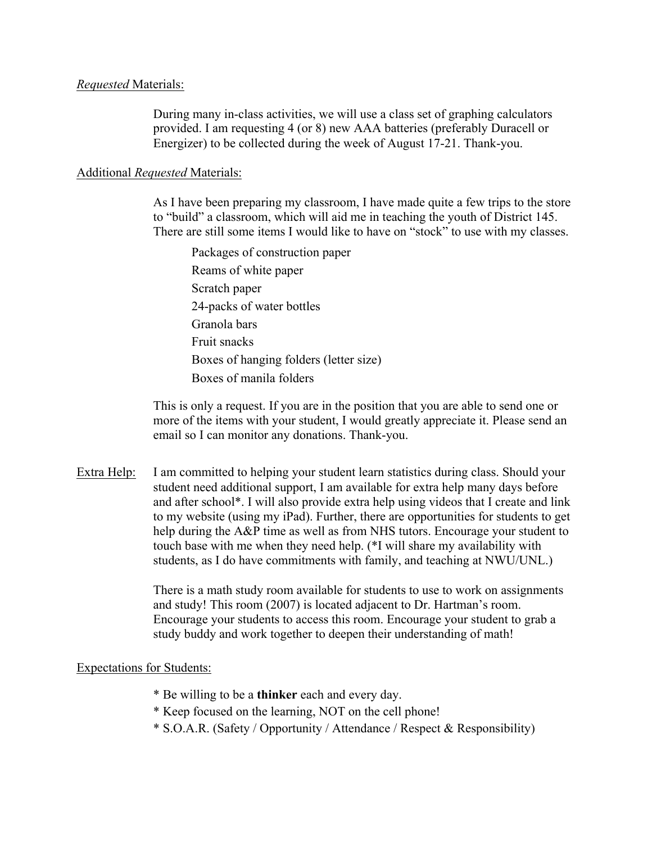#### *Requested* Materials:

During many in-class activities, we will use a class set of graphing calculators provided. I am requesting 4 (or 8) new AAA batteries (preferably Duracell or Energizer) to be collected during the week of August 17-21. Thank-you.

### Additional *Requested* Materials:

As I have been preparing my classroom, I have made quite a few trips to the store to "build" a classroom, which will aid me in teaching the youth of District 145. There are still some items I would like to have on "stock" to use with my classes.

Packages of construction paper Reams of white paper Scratch paper 24-packs of water bottles Granola bars Fruit snacks Boxes of hanging folders (letter size) Boxes of manila folders

This is only a request. If you are in the position that you are able to send one or more of the items with your student, I would greatly appreciate it. Please send an email so I can monitor any donations. Thank-you.

Extra Help: I am committed to helping your student learn statistics during class. Should your student need additional support, I am available for extra help many days before and after school\*. I will also provide extra help using videos that I create and link to my website (using my iPad). Further, there are opportunities for students to get help during the A&P time as well as from NHS tutors. Encourage your student to touch base with me when they need help. (\*I will share my availability with students, as I do have commitments with family, and teaching at NWU/UNL.)

> There is a math study room available for students to use to work on assignments and study! This room (2007) is located adjacent to Dr. Hartman's room. Encourage your students to access this room. Encourage your student to grab a study buddy and work together to deepen their understanding of math!

#### Expectations for Students:

- \* Be willing to be a **thinker** each and every day.
- \* Keep focused on the learning, NOT on the cell phone!
- \* S.O.A.R. (Safety / Opportunity / Attendance / Respect & Responsibility)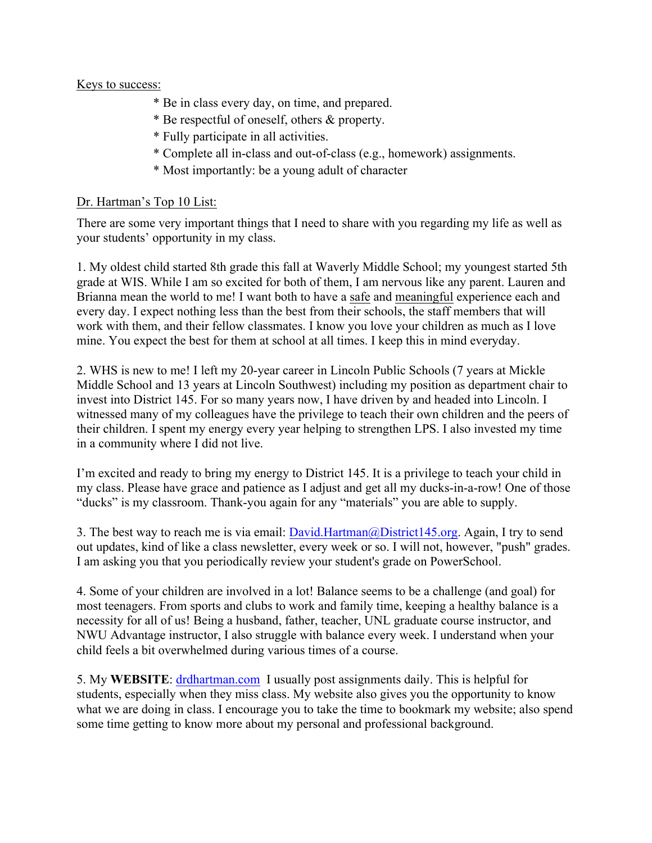## Keys to success:

- \* Be in class every day, on time, and prepared.
- \* Be respectful of oneself, others & property.
- \* Fully participate in all activities.
- \* Complete all in-class and out-of-class (e.g., homework) assignments.
- \* Most importantly: be a young adult of character

# Dr. Hartman's Top 10 List:

There are some very important things that I need to share with you regarding my life as well as your students' opportunity in my class.

1. My oldest child started 8th grade this fall at Waverly Middle School; my youngest started 5th grade at WIS. While I am so excited for both of them, I am nervous like any parent. Lauren and Brianna mean the world to me! I want both to have a safe and meaningful experience each and every day. I expect nothing less than the best from their schools, the staff members that will work with them, and their fellow classmates. I know you love your children as much as I love mine. You expect the best for them at school at all times. I keep this in mind everyday.

2. WHS is new to me! I left my 20-year career in Lincoln Public Schools (7 years at Mickle Middle School and 13 years at Lincoln Southwest) including my position as department chair to invest into District 145. For so many years now, I have driven by and headed into Lincoln. I witnessed many of my colleagues have the privilege to teach their own children and the peers of their children. I spent my energy every year helping to strengthen LPS. I also invested my time in a community where I did not live.

I'm excited and ready to bring my energy to District 145. It is a privilege to teach your child in my class. Please have grace and patience as I adjust and get all my ducks-in-a-row! One of those "ducks" is my classroom. Thank-you again for any "materials" you are able to supply.

3. The best way to reach me is via email: David.Hartman@District145.org. Again, I try to send out updates, kind of like a class newsletter, every week or so. I will not, however, "push" grades. I am asking you that you periodically review your student's grade on PowerSchool.

4. Some of your children are involved in a lot! Balance seems to be a challenge (and goal) for most teenagers. From sports and clubs to work and family time, keeping a healthy balance is a necessity for all of us! Being a husband, father, teacher, UNL graduate course instructor, and NWU Advantage instructor, I also struggle with balance every week. I understand when your child feels a bit overwhelmed during various times of a course.

5. My **WEBSITE**: drdhartman.com I usually post assignments daily. This is helpful for students, especially when they miss class. My website also gives you the opportunity to know what we are doing in class. I encourage you to take the time to bookmark my website; also spend some time getting to know more about my personal and professional background.